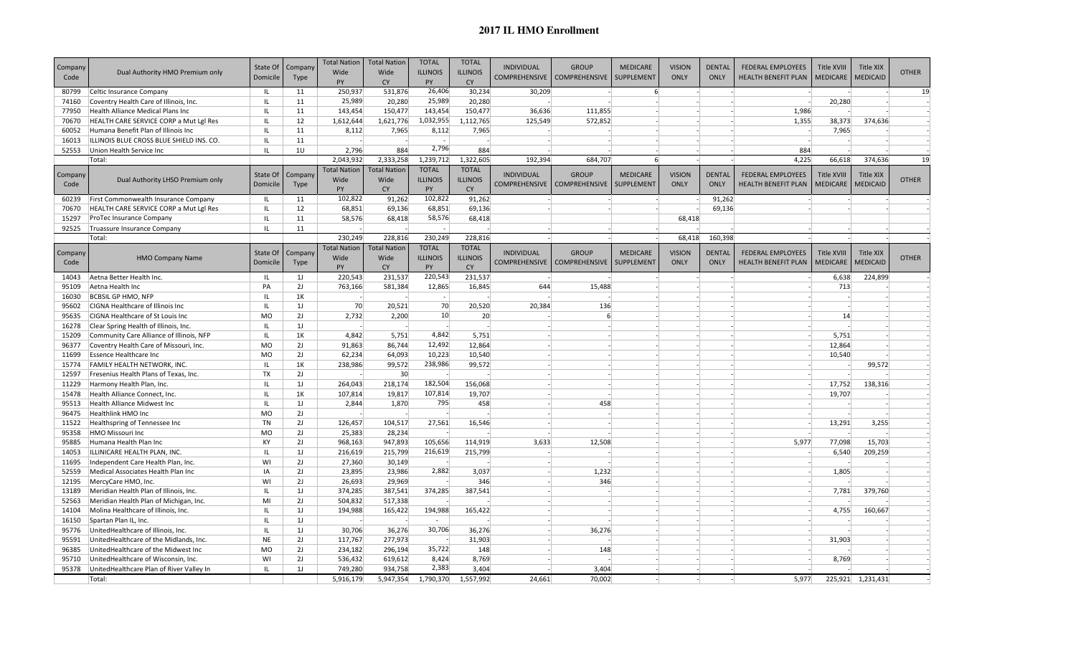## **2017 IL HMO Enrollment**

| Company<br>Code | Dual Authority HMO Premium only          | State Of<br>Domicile              | Company<br>Type | <b>Total Nation</b><br>Wide<br>PY | <b>Total Nation</b><br>Wide<br><b>CY</b> | <b>TOTAL</b><br><b>ILLINOIS</b><br><b>PY</b> | <b>TOTAL</b><br><b>ILLINOIS</b><br><b>CY</b> | <b>INDIVIDUAL</b><br><b>COMPREHENSIVE</b> | <b>GROUP</b><br><b>COMPREHENSIVE</b> | <b>MEDICARE</b><br>SUPPLEMENT | <b>VISION</b><br><b>ONLY</b> | <b>DENTAL</b><br><b>ONLY</b> | <b>FEDERAL EMPLOYEES</b><br><b>HEALTH BENEFIT PLAN</b> | <b>Title XVIII</b><br><b>MEDICARE</b> | <b>Title XIX</b><br><b>MEDICAID</b> | <b>OTHER</b> |
|-----------------|------------------------------------------|-----------------------------------|-----------------|-----------------------------------|------------------------------------------|----------------------------------------------|----------------------------------------------|-------------------------------------------|--------------------------------------|-------------------------------|------------------------------|------------------------------|--------------------------------------------------------|---------------------------------------|-------------------------------------|--------------|
| 80799           | Celtic Insurance Company                 | IL.                               | 11              | 250,937                           | 531,876                                  | 26,406                                       | 30,234                                       | 30,209                                    |                                      | $6 \overline{6}$              |                              |                              |                                                        |                                       |                                     | 19           |
| 74160           | Coventry Health Care of Illinois, Inc.   | $\mathbf{L}$                      | 11              | 25,989                            | 20,280                                   | 25,989                                       | 20,280                                       |                                           |                                      |                               |                              |                              |                                                        | 20,280                                |                                     |              |
| 77950           | Health Alliance Medical Plans Inc        | IL                                | 11              | 143,454                           | 150,477                                  | 143,454                                      | 150,477                                      | 36,636                                    | 111,855                              |                               |                              |                              | 1,986                                                  |                                       |                                     |              |
| 70670           | HEALTH CARE SERVICE CORP a Mut Lgl Res   | IL.                               | 12              | 1,612,644                         | 1,621,776                                | 1,032,955                                    | 1,112,765                                    | 125,549                                   | 572,852                              |                               |                              |                              | 1,355                                                  | 38,373                                | 374,636                             |              |
| 60052           | Humana Benefit Plan of Illinois Inc      | IL                                | 11              | 8,112                             | 7,965                                    | 8,112                                        | 7,965                                        |                                           |                                      |                               |                              |                              |                                                        | 7,965                                 |                                     |              |
| 16013           | ILLINOIS BLUE CROSS BLUE SHIELD INS. CO. | $\mathbf{L}$                      | 11              |                                   |                                          | $\overline{\phantom{a}}$                     |                                              |                                           |                                      |                               |                              |                              |                                                        |                                       |                                     |              |
| 52553           | Union Health Service Inc                 | IL                                | 10              | 2,796                             | 884                                      | 2,796                                        | 884                                          |                                           |                                      |                               |                              |                              | 884                                                    |                                       |                                     |              |
|                 | Total:                                   |                                   |                 | 2,043,932                         | 2,333,258                                | 1,239,712                                    | 1,322,605                                    | 192,394                                   | 684,707                              | $6 \overline{6}$              |                              |                              | 4,225                                                  | 66,618                                | 374,636                             | 19           |
|                 |                                          |                                   |                 | <b>Total Nation</b>               | <b>Total Nation</b>                      | <b>TOTAL</b>                                 | <b>TOTAL</b>                                 |                                           |                                      |                               |                              |                              |                                                        |                                       |                                     |              |
| Company         | Dual Authority LHSO Premium only         | State Of                          | Company         | Wide                              | Wide                                     | <b>ILLINOIS</b>                              | <b>ILLINOIS</b>                              | <b>INDIVIDUAL</b>                         | <b>GROUP</b>                         | <b>MEDICARE</b>               | <b>VISION</b>                | <b>DENTAL</b>                | <b>FEDERAL EMPLOYEES</b>                               | Title XVIII                           | <b>Title XIX</b>                    | <b>OTHER</b> |
| Code            |                                          | Domicile                          | Type            | PY                                | <b>CY</b>                                | PY                                           | <b>CY</b>                                    | <b>COMPREHENSIVE</b>                      | <b>COMPREHENSIVE</b>                 | SUPPLEMENT                    | <b>ONLY</b>                  | <b>ONLY</b>                  | <b>HEALTH BENEFIT PLAN</b>                             | <b>MEDICARE</b>                       | <b>MEDICAID</b>                     |              |
| 60239           | First Commonwealth Insurance Company     | IL                                | 11              | 102,822                           | 91,262                                   | 102,822                                      | 91,262                                       |                                           |                                      |                               |                              | 91,262                       |                                                        |                                       |                                     |              |
| 70670           | HEALTH CARE SERVICE CORP a Mut Lgl Res   | IL                                | 12              | 68,851                            | 69,136                                   | 68,851                                       | 69,136                                       |                                           |                                      |                               |                              | 69,136                       |                                                        |                                       |                                     |              |
| 15297           | ProTec Insurance Company                 | IL                                | 11              | 58,576                            | 68,418                                   | 58,576                                       | 68,418                                       |                                           |                                      |                               | 68,418                       |                              |                                                        |                                       |                                     |              |
| 92525           | Truassure Insurance Company              | IL                                | 11              |                                   |                                          |                                              |                                              |                                           |                                      |                               |                              |                              |                                                        |                                       |                                     |              |
|                 | Total:                                   |                                   |                 | 230,249                           | 228,816                                  | 230,249                                      | 228,816                                      |                                           |                                      |                               | 68,418                       | 160,398                      |                                                        |                                       |                                     |              |
|                 |                                          |                                   |                 | <b>Total Nation</b>               | <b>Total Nation</b>                      | <b>TOTAL</b>                                 | <b>TOTAL</b>                                 |                                           |                                      |                               |                              |                              |                                                        |                                       |                                     |              |
| Company         | <b>HMO Company Name</b>                  | State Of                          | Company         | Wide                              | Wide                                     | <b>ILLINOIS</b>                              | <b>ILLINOIS</b>                              | <b>INDIVIDUAL</b>                         | <b>GROUP</b>                         | <b>MEDICARE</b>               | <b>VISION</b>                | <b>DENTAL</b>                | <b>FEDERAL EMPLOYEES</b>                               | Title XVIII                           | <b>Title XIX</b>                    | <b>OTHER</b> |
| Code            |                                          | Domicile                          | Type            | <b>PY</b>                         | <b>CY</b>                                | PY                                           | <b>CY</b>                                    | <b>COMPREHENSIVE</b>                      | COMPREHENSIVE   SUPPLEMENT           |                               | <b>ONLY</b>                  | <b>ONLY</b>                  | <b>HEALTH BENEFIT PLAN</b>                             | <b>MEDICARE</b>                       | <b>MEDICAID</b>                     |              |
| 14043           | Aetna Better Health Inc.                 | IL                                | 1 <sub>J</sub>  | 220,543                           | 231,537                                  | 220,543                                      | 231,537                                      |                                           |                                      |                               |                              |                              |                                                        | 6,638                                 | 224,899                             |              |
| 95109           | Aetna Health Inc                         | PA                                | 2J              | 763,166                           | 581,384                                  | 12,865                                       | 16,845                                       | 644                                       | 15,488                               |                               |                              |                              |                                                        | 713                                   |                                     |              |
| 16030           | <b>BCBSIL GP HMO, NFP</b>                | IL.                               | 1K              |                                   |                                          | $\sim$                                       |                                              |                                           |                                      |                               |                              |                              |                                                        |                                       |                                     |              |
| 95602           | <b>CIGNA Healthcare of Illinois Inc</b>  | IL.                               | 1J              | 70                                | 20,521                                   | 70                                           | 20,520                                       | 20,384                                    | 136                                  |                               |                              |                              |                                                        |                                       |                                     |              |
| 95635           | <b>CIGNA Healthcare of St Louis Inc.</b> | <b>MO</b>                         | 2J              | 2,732                             | 2,200                                    | 10 <sup>1</sup>                              | 20                                           |                                           | 6                                    |                               |                              |                              |                                                        | 14                                    |                                     |              |
| 16278           | Clear Spring Health of Illinois, Inc.    | IL                                | 1J              |                                   |                                          |                                              |                                              |                                           |                                      |                               |                              |                              |                                                        |                                       |                                     |              |
| 15209           | Community Care Alliance of Illinois, NFP | $\ensuremath{\mathsf{IL}}\xspace$ | 1K              | 4,842                             | 5,751                                    | 4,842                                        | 5,751                                        |                                           |                                      |                               |                              |                              |                                                        | 5,751                                 |                                     |              |
| 96377           | Coventry Health Care of Missouri, Inc.   | <b>MO</b>                         | 2J              | 91,863                            | 86,744                                   | 12,492                                       | 12,864                                       |                                           |                                      |                               |                              |                              |                                                        | 12,864                                |                                     |              |
| 11699           | <b>Essence Healthcare Inc</b>            | <b>MO</b>                         | 2J              | 62,234                            | 64,093                                   | 10,223                                       | 10,540                                       |                                           |                                      |                               |                              |                              |                                                        | 10,540                                |                                     |              |
| 15774           | <b>FAMILY HEALTH NETWORK, INC.</b>       | IL                                | 1K              | 238,986                           | 99,572                                   | 238,986                                      | 99,572                                       |                                           |                                      |                               |                              |                              |                                                        |                                       | 99,572                              |              |
| 12597           | Fresenius Health Plans of Texas, Inc.    | TX                                | 2J              |                                   | 30 <sup>°</sup>                          |                                              |                                              |                                           |                                      |                               |                              |                              |                                                        |                                       |                                     |              |
| 11229           | Harmony Health Plan, Inc.                | $\ensuremath{\mathsf{IL}}\xspace$ | 1J              | 264,043                           | 218,174                                  | 182,504                                      | 156,068                                      |                                           |                                      |                               |                              |                              |                                                        | 17,752                                | 138,316                             |              |
| 15478           | Health Alliance Connect, Inc.            | ΙL                                | 1K              | 107,814                           | 19,817                                   | 107,814                                      | 19,707                                       |                                           |                                      |                               |                              |                              |                                                        | 19,707                                |                                     |              |
| 95513           | Health Alliance Midwest Inc              | IL                                | 1J              | 2,844                             | 1,870                                    | 795                                          | 458                                          |                                           | 458                                  |                               |                              |                              |                                                        |                                       |                                     |              |
| 96475           | Healthlink HMO Inc                       | <b>MO</b>                         | 2J              |                                   |                                          |                                              |                                              |                                           |                                      |                               |                              |                              |                                                        |                                       |                                     |              |
| 11522           | Healthspring of Tennessee Inc            | TN                                | 2J              | 126,457                           | 104,517                                  | 27,561                                       | 16,546                                       |                                           |                                      |                               |                              |                              |                                                        | 13,291                                | 3,255                               |              |
| 95358           | HMO Missouri Inc                         | M <sub>O</sub>                    | 2J              | 25,383                            | 28,234                                   |                                              |                                              |                                           |                                      |                               |                              |                              |                                                        |                                       |                                     |              |
| 95885           | Humana Health Plan Inc                   | KY                                | 2J              | 968,163                           | 947,893                                  | 105,656                                      | 114,919                                      | 3,633                                     | 12,508                               |                               |                              |                              | 5,977                                                  | 77,098                                | 15,703                              |              |
| 14053           | ILLINICARE HEALTH PLAN, INC.             | IL                                | 1 <sub>J</sub>  | 216,619                           | 215,799                                  | 216,619                                      | 215,799                                      |                                           |                                      |                               |                              |                              |                                                        | 6,540                                 | 209,259                             |              |
| 11695           | Independent Care Health Plan, Inc.       | WI                                | 2J              | 27,360                            | 30,149                                   |                                              |                                              |                                           |                                      |                               |                              |                              |                                                        |                                       |                                     |              |
| 52559           | Medical Associates Health Plan Inc       | IA                                | 2J              | 23,895                            | 23,986                                   | 2,882                                        | 3,037                                        |                                           | 1,232                                |                               |                              |                              |                                                        | 1,805                                 |                                     |              |
| 12195           | MercyCare HMO, Inc.                      | WI                                | 2J              | 26,693                            | 29,969                                   |                                              | 346                                          |                                           | 346                                  |                               |                              |                              |                                                        |                                       |                                     |              |
| 13189           | Meridian Health Plan of Illinois, Inc.   | IL.                               | 1J              | 374,285                           | 387,541                                  | 374,285                                      | 387,541                                      |                                           |                                      |                               |                              |                              |                                                        | 7,781                                 | 379,760                             |              |
| 52563           | Meridian Health Plan of Michigan, Inc.   | MI                                | 2J              | 504,832                           | 517,338                                  |                                              |                                              |                                           |                                      |                               |                              |                              |                                                        |                                       |                                     |              |
| 14104           | Molina Healthcare of Illinois, Inc.      | IL                                | 1J              | 194,988                           | 165,422                                  | 194,988                                      | 165,422                                      |                                           |                                      |                               |                              |                              |                                                        | 4,755                                 | 160,667                             |              |
| 16150           | Spartan Plan IL, Inc.                    | IL                                | 1J              |                                   |                                          |                                              |                                              |                                           |                                      |                               |                              |                              |                                                        |                                       |                                     |              |
| 95776           | UnitedHealthcare of Illinois, Inc.       | IL                                | 1J              | 30,706                            | 36,276                                   | 30,706                                       | 36,276                                       |                                           | 36,276                               |                               |                              |                              |                                                        |                                       |                                     |              |
| 95591           | UnitedHealthcare of the Midlands, Inc.   | <b>NE</b>                         | 2J              | 117,767                           | 277,973                                  |                                              | 31,903                                       |                                           |                                      |                               |                              |                              |                                                        | 31,903                                |                                     |              |
| 96385           | UnitedHealthcare of the Midwest Inc      | MO                                | 2J              | 234,182                           | 296,194                                  | 35,722                                       | 148                                          |                                           | 148                                  |                               |                              |                              |                                                        |                                       |                                     |              |
| 95710           | UnitedHealthcare of Wisconsin, Inc.      | WI                                | 2J              | 536,432                           | 619,612                                  | 8,424<br>2,383                               | 8,769                                        |                                           |                                      |                               |                              |                              |                                                        | 8,769                                 |                                     |              |
| 95378           | UnitedHealthcare Plan of River Valley In | IL                                | 1J              | 749,280                           | 934,758                                  |                                              | 3,404                                        |                                           | 3,404                                |                               |                              |                              |                                                        |                                       |                                     |              |
|                 | Total:                                   |                                   |                 | 5,916,179                         | 5,947,354                                | 1,790,370                                    | 1,557,992                                    | 24,661                                    | 70,002                               |                               |                              |                              | 5.977                                                  | 225,921                               | 1,231,431                           |              |